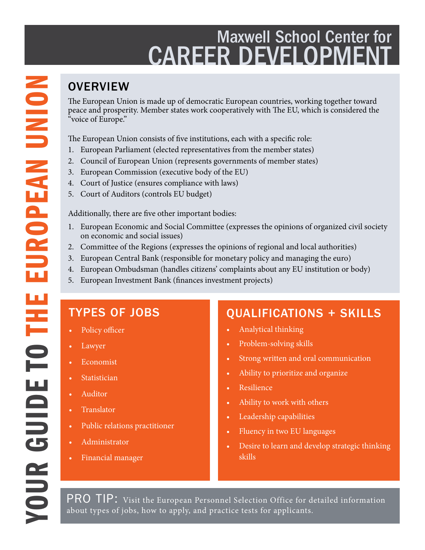## Maxwell School Center for **CAREER DEVELOPMEN**

The European Union is made up of democratic European countries, working together toward peace and prosperity. Member states work cooperatively with The EU, which is considered the "voice of Europe."

The European Union consists of five institutions, each with a specific role:

- European Parliament (elected representatives from the member states)
- 2. Council of European Union (represents governments of member states)
- 3. European Commission (executive body of the EU)
- 4. Court of Justice (ensures compliance with laws)
- 5. Court of Auditors (controls EU budget)

Additionally, there are five other important bodies:

- 1. European Economic and Social Committee (expresses the opinions of organized civil society on economic and social issues)
- 2. Committee of the Regions (expresses the opinions of regional and local authorities)
- 3. European Central Bank (responsible for monetary policy and managing the euro)
- 4. European Ombudsman (handles citizens' complaints about any EU institution or body)
- 5. European Investment Bank (finances investment projects)

### TYPES OF JOBS

- Policy officer
- **Lawyer**
- **Economist**
- **Statistician**
- Auditor
- **Translator**
- Public relations practitioner
- Administrator
- Financial manager

### QUALIFICATIONS + SKILLS

- Analytical thinking
- Problem-solving skills
- Strong written and oral communication
- Ability to prioritize and organize
- Resilience
- Ability to work with others
- Leadership capabilities
- Fluency in two EU languages
- Desire to learn and develop strategic thinking skills

PRO TIP: Visit the European Personnel Selection Office for detailed information about types of jobs, how to apply, and practice tests for applicants.